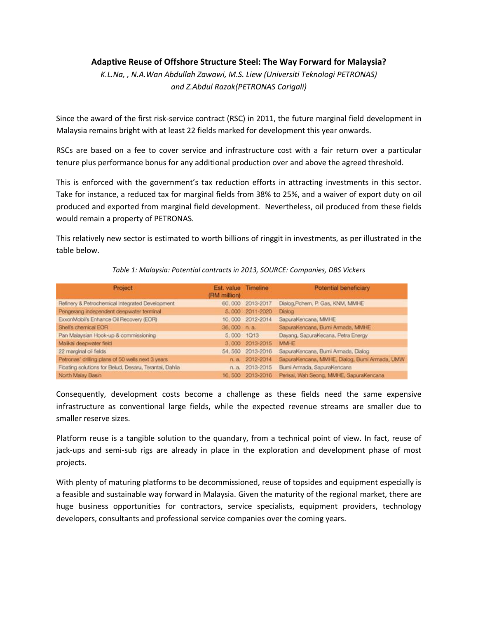## **Adaptive Reuse of Offshore Structure Steel: The Way Forward for Malaysia?**

*K.L.Na, , N.A.Wan Abdullah Zawawi, M.S. Liew (Universiti Teknologi PETRONAS) and Z.Abdul Razak(PETRONAS Carigali)*

Since the award of the first risk-service contract (RSC) in 2011, the future marginal field development in Malaysia remains bright with at least 22 fields marked for development this year onwards.

RSCs are based on a fee to cover service and infrastructure cost with a fair return over a particular tenure plus performance bonus for any additional production over and above the agreed threshold.

This is enforced with the government's tax reduction efforts in attracting investments in this sector. Take for instance, a reduced tax for marginal fields from 38% to 25%, and a waiver of export duty on oil produced and exported from marginal field development. Nevertheless, oil produced from these fields would remain a property of PETRONAS.

This relatively new sector is estimated to worth billions of ringgit in investments, as per illustrated in the table below.

| Project                                               | Est. value Timeline<br>(RM million) |                   | Potential beneficiary                         |
|-------------------------------------------------------|-------------------------------------|-------------------|-----------------------------------------------|
| Refinery & Petrochemical Integrated Development       |                                     | 60,000 2013-2017  | Dialog, Pchem, P. Gas, KNM, MMHE              |
| Pengerang independent deepwater terminal              |                                     | 5,000 2011-2020   | Dialog                                        |
| ExxonMobil's Enhance Oil Recovery (EOR)               |                                     | 10,000 2012-2014  | SapuraKencana, MMHE                           |
| Shell's chemical EOR                                  | 36.000 п. а.                        |                   | SapuraKencana, Bumi Armada, MMHE              |
| Pan Malaysian Hook-up & commissioning                 | 5,000 1013                          |                   | Dayang, SapuraKecana, Petra Energy            |
| Malikai deepwater field                               |                                     | 3,000 2013-2015   | MMHE                                          |
| 22 marginal oil fields                                |                                     | 54, 560 2013-2016 | SapuraKencana, Burni Armada, Dialog           |
| Petronas' drilling plans of 50 wells next 3 years     | n. a.                               | 2012-2014         | SapuraKencana, MMHE, Dialog, Bumi Armada, UMW |
| Floating solutions for Belud, Desaru, Terantai, Dahia |                                     | n. a. 2013-2015   | Bumi Armada, SapuraKencana                    |
| North Malay Basin                                     |                                     | 16, 500 2013-2016 | Perisai, Wah Seong, MMHE, SapuraKencana       |

### *Table 1: Malaysia: Potential contracts in 2013, SOURCE: Companies, DBS Vickers*

Consequently, development costs become a challenge as these fields need the same expensive infrastructure as conventional large fields, while the expected revenue streams are smaller due to smaller reserve sizes.

Platform reuse is a tangible solution to the quandary, from a technical point of view. In fact, reuse of jack-ups and semi-sub rigs are already in place in the exploration and development phase of most projects.

With plenty of maturing platforms to be decommissioned, reuse of topsides and equipment especially is a feasible and sustainable way forward in Malaysia. Given the maturity of the regional market, there are huge business opportunities for contractors, service specialists, equipment providers, technology developers, consultants and professional service companies over the coming years.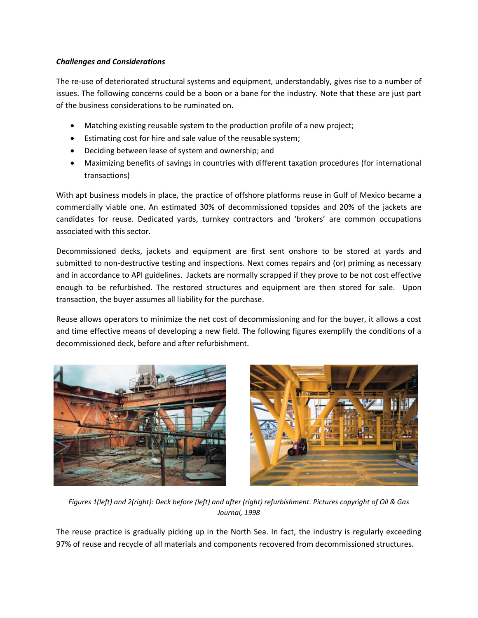## *Challenges and Considerations*

The re-use of deteriorated structural systems and equipment, understandably, gives rise to a number of issues. The following concerns could be a boon or a bane for the industry. Note that these are just part of the business considerations to be ruminated on.

- Matching existing reusable system to the production profile of a new project;
- Estimating cost for hire and sale value of the reusable system;
- Deciding between lease of system and ownership; and
- Maximizing benefits of savings in countries with different taxation procedures (for international transactions)

With apt business models in place, the practice of offshore platforms reuse in Gulf of Mexico became a commercially viable one. An estimated 30% of decommissioned topsides and 20% of the jackets are candidates for reuse. Dedicated yards, turnkey contractors and 'brokers' are common occupations associated with this sector.

Decommissioned decks, jackets and equipment are first sent onshore to be stored at yards and submitted to non-destructive testing and inspections. Next comes repairs and (or) priming as necessary and in accordance to API guidelines. Jackets are normally scrapped if they prove to be not cost effective enough to be refurbished. The restored structures and equipment are then stored for sale. Upon transaction, the buyer assumes all liability for the purchase.

Reuse allows operators to minimize the net cost of decommissioning and for the buyer, it allows a cost and time effective means of developing a new field. The following figures exemplify the conditions of a decommissioned deck, before and after refurbishment.





*Figures 1(left) and 2(right): Deck before (left) and after (right) refurbishment. Pictures copyright of Oil & Gas Journal, 1998*

The reuse practice is gradually picking up in the North Sea. In fact, the industry is regularly exceeding 97% of reuse and recycle of all materials and components recovered from decommissioned structures.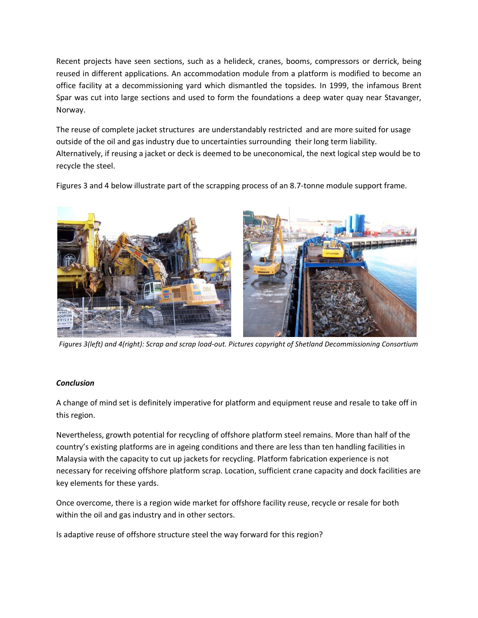Recent projects have seen sections, such as a helideck, cranes, booms, compressors or derrick, being reused in different applications. An accommodation module from a platform is modified to become an office facility at a decommissioning yard which dismantled the topsides. In 1999, the infamous Brent Spar was cut into large sections and used to form the foundations a deep water quay near Stavanger, Norway.

The reuse of complete jacket structures are understandably restricted and are more suited for usage outside of the oil and gas industry due to uncertainties surrounding their long term liability. Alternatively, if reusing a jacket or deck is deemed to be uneconomical, the next logical step would be to recycle the steel.



Figures 3 and 4 below illustrate part of the scrapping process of an 8.7-tonne module support frame.

*Figures 3(left) and 4(right): Scrap and scrap load-out. Pictures copyright of Shetland Decommissioning Consortium*

### *Conclusion*

A change of mind set is definitely imperative for platform and equipment reuse and resale to take off in this region.

Nevertheless, growth potential for recycling of offshore platform steel remains. More than half of the country's existing platforms are in ageing conditions and there are less than ten handling facilities in Malaysia with the capacity to cut up jackets for recycling. Platform fabrication experience is not necessary for receiving offshore platform scrap. Location, sufficient crane capacity and dock facilities are key elements for these yards.

Once overcome, there is a region wide market for offshore facility reuse, recycle or resale for both within the oil and gas industry and in other sectors.

Is adaptive reuse of offshore structure steel the way forward for this region?